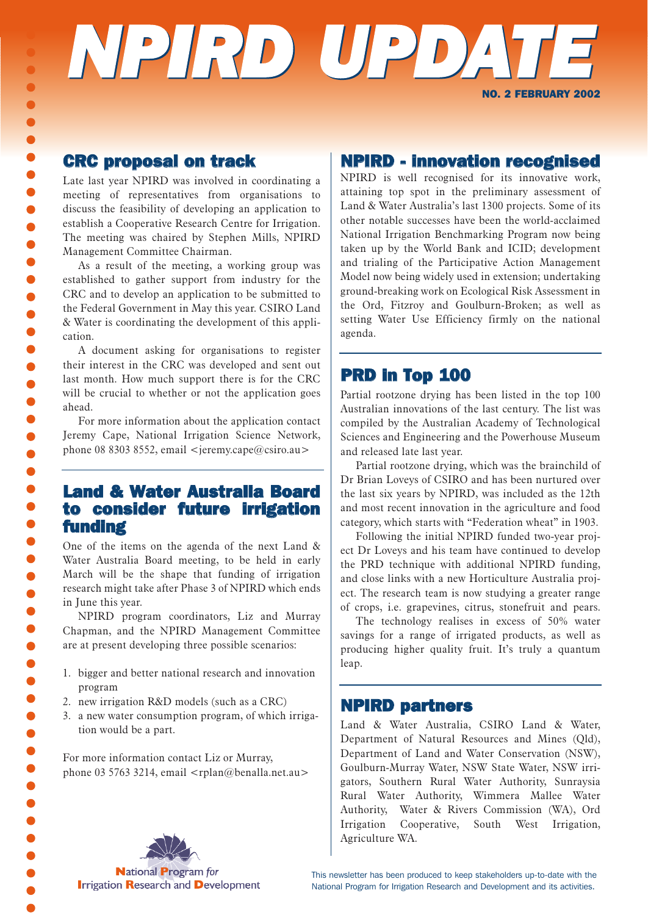# *NPIRD UPDA TE* NO. 2 FEBRUARY 2002

### CRC proposal on track

 $\bullet$  $\bullet$  $\bullet$  $\bullet$  $\bullet$  $\bullet$  $\bullet$  $\bullet$  $\bullet$  $\bullet$  $\bullet$  $\bullet$  $\bullet$  $\bullet$  $\bullet$  $\bullet$  $\bullet$  $\bullet$  $\bullet$  $\bullet$  $\bullet$  $\bullet$  $\bullet$  $\bullet$  $\bullet$  $\bullet$  $\bullet$  $\bullet$  $\bullet$  $\bullet$  $\bullet$  $\bullet$  $\bullet$  $\bullet$  $\bullet$  $\bullet$  $\bullet$  $\bullet$  $\bullet$ 

Late last year NPIRD was involved in coordinating a meeting of representatives from organisations to discuss the feasibility of developing an application to establish a Cooperative Research Centre for Irrigation. The meeting was chaired by Stephen Mills, NPIRD Management Committee Chairman.

As a result of the meeting, a working group was established to gather support from industry for the CRC and to develop an application to be submitted to the Federal Government in May this year. CSIRO Land & Water is coordinating the development of this application.

A document asking for organisations to register their interest in the CRC was developed and sent out last month. How much support there is for the CRC will be crucial to whether or not the application goes ahead.

For more information about the application contact Jeremy Cape, National Irrigation Science Network, phone 08 8303 8552, email  $\le$ jeremy.cape@csiro.au >

## Land & Water Australia Board to consider future irrigation funding

One of the items on the agenda of the next Land & Water Australia Board meeting, to be held in early March will be the shape that funding of irrigation research might take after Phase 3 of NPIRD which ends in June this year.

NPIRD program coordinators, Liz and Murray Chapman, and the NPIRD Management Committee are at present developing three possible scenarios:

- 1. bigger and better national research and innovation program
- 2. new irrigation R&D models (such as a CRC)
- 3. a new water consumption program, of which irrigation would be a part.

For more information contact Liz or Murray, phone 03 5763 3214, email  $\langle \text{rplan@benalla.net.au} \rangle$ 

## NPIRD - innovation recognised

NPIRD is well recognised for its innovative work, attaining top spot in the preliminary assessment of Land & Water Australia's last 1300 projects. Some of its other notable successes have been the world-acclaimed National Irrigation Benchmarking Program now being taken up by the World Bank and ICID; development and trialing of the Participative Action Management Model now being widely used in extension; undertaking ground-breaking work on Ecological Risk Assessment in the Ord, Fitzroy and Goulburn-Broken; as well as setting Water Use Efficiency firmly on the national agenda.

# PRD in Top 100

Partial rootzone drying has been listed in the top 100 Australian innovations of the last century. The list was compiled by the Australian Academy of Technological Sciences and Engineering and the Powerhouse Museum and released late last year.

Partial rootzone drying, which was the brainchild of Dr Brian Loveys of CSIRO and has been nurtured over the last six years by NPIRD, was included as the 12th and most recent innovation in the agriculture and food category, which starts with "Federation wheat" in 1903.

Following the initial NPIRD funded two-year project Dr Loveys and his team have continued to develop the PRD technique with additional NPIRD funding, and close links with a new Horticulture Australia project. The research team is now studying a greater range of crops, i.e. grapevines, citrus, stonefruit and pears.

The technology realises in excess of 50% water savings for a range of irrigated products, as well as producing higher quality fruit. It's truly a quantum leap.

#### NPIRD partners

Land & Water Australia, CSIRO Land & Water, Department of Natural Resources and Mines (Qld), Department of Land and Water Conservation (NSW), Goulburn-Murray Water, NSW State Water, NSW irrigators, Southern Rural Water Authority, Sunraysia Rural Water Authority, Wimmera Mallee Water Authority, Water & Rivers Commission (WA), Ord Irrigation Cooperative, South West Irrigation, Agriculture WA.

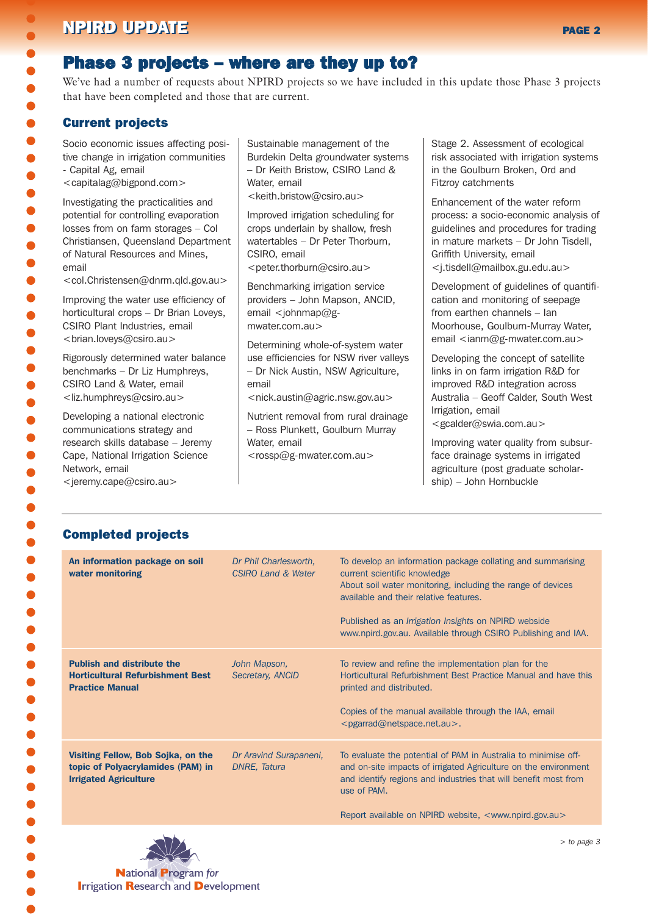# NPIRD UPDATE NEWSLET WE GET A CONTROL CONTROL CONTROL CONTROL CONTROL CONTROL CONTROL CONTROL CONTROL CONTROL CONTROL CONTROL CONTROL CONTROL CONTROL CONTROL CONTROL CONTROL CONTROL CONTROL CONTROL CONTROL CONTROL CONTROL

# Phase 3 projects – where are they up to?

We've had a number of requests about NPIRD projects so we have included in this update those Phase 3 projects that have been completed and those that are current.

#### Current projects

 $\bullet$  $\bullet$  $\bullet$ 

Socio economic issues affecting positive change in irrigation communities - Capital Ag, email

<capitalag@bigpond.com>

Investigating the practicalities and potential for controlling evaporation losses from on farm storages – Col Christiansen, Queensland Department of Natural Resources and Mines, email

<col.Christensen@dnrm.qld.gov.au>

Improving the water use efficiency of horticultural crops – Dr Brian Loveys, CSIRO Plant Industries, email <brian.loveys@csiro.au>

Rigorously determined water balance benchmarks – Dr Liz Humphreys, CSIRO Land & Water, email <liz.humphreys@csiro.au>

Developing a national electronic communications strategy and research skills database – Jeremy Cape, National Irrigation Science Network, email

<jeremy.cape@csiro.au>

Sustainable management of the Burdekin Delta groundwater systems – Dr Keith Bristow, CSIRO Land & Water, email

<keith.bristow@csiro.au>

Improved irrigation scheduling for crops underlain by shallow, fresh watertables – Dr Peter Thorburn, CSIRO, email <peter.thorburn@csiro.au>

Benchmarking irrigation service providers – John Mapson, ANCID, email  $\lt$ johnmap@gmwater.com.au>

Determining whole-of-system water use efficiencies for NSW river valleys – Dr Nick Austin, NSW Agriculture, email

<nick.austin@agric.nsw.gov.au>

Nutrient removal from rural drainage – Ross Plunkett, Goulburn Murray Water, email <rossp@g-mwater.com.au>

Stage 2. Assessment of ecological risk associated with irrigation systems in the Goulburn Broken, Ord and Fitzroy catchments

Enhancement of the water reform process: a socio-economic analysis of guidelines and procedures for trading in mature markets – Dr John Tisdell, Griffith University, email <j.tisdell@mailbox.gu.edu.au>

Development of guidelines of quantification and monitoring of seepage from earthen channels – Ian Moorhouse, Goulburn-Murray Water, email <ianm@g-mwater.com.au>

Developing the concept of satellite links in on farm irrigation R&D for improved R&D integration across Australia – Geoff Calder, South West Irrigation, email

<gcalder@swia.com.au>

Improving water quality from subsurface drainage systems in irrigated agriculture (post graduate scholarship) – John Hornbuckle

#### Completed projects

| An information package on soil<br>water monitoring                                                      | Dr Phil Charlesworth,<br>CSIRO Land & Water | To develop an information package collating and summarising<br>current scientific knowledge<br>About soil water monitoring, including the range of devices<br>available and their relative features.<br>Published as an <i>Irrigation Insights</i> on NPIRD webside<br>www.npird.gov.au. Available through CSIRO Publishing and IAA. |
|---------------------------------------------------------------------------------------------------------|---------------------------------------------|--------------------------------------------------------------------------------------------------------------------------------------------------------------------------------------------------------------------------------------------------------------------------------------------------------------------------------------|
| <b>Publish and distribute the</b><br><b>Horticultural Refurbishment Best</b><br><b>Practice Manual</b>  | John Mapson,<br>Secretary, ANCID            | To review and refine the implementation plan for the<br>Horticultural Refurbishment Best Practice Manual and have this<br>printed and distributed.<br>Copies of the manual available through the IAA, email<br>$<$ pgarrad@netspace.net.au>.                                                                                         |
| Visiting Fellow, Bob Sojka, on the<br>topic of Polyacrylamides (PAM) in<br><b>Irrigated Agriculture</b> | Dr Aravind Surapaneni,<br>DNRE, Tatura      | To evaluate the potential of PAM in Australia to minimise off-<br>and on-site impacts of irrigated Agriculture on the environment<br>and identify regions and industries that will benefit most from<br>use of PAM.<br>Report available on NPIRD website, <www.npird.gov.au></www.npird.gov.au>                                      |



**Irrigation Research and Development**